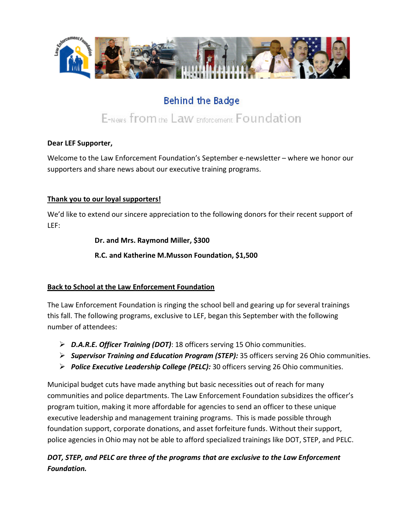

# **Behind the Badge**

# E-News from the Law Enforcement Foundation

#### **Dear LEF Supporter,**

Welcome to the Law Enforcement Foundation's September e-newsletter – where we honor our supporters and share news about our executive training programs.

#### **Thank you to our loyal supporters!**

We'd like to extend our sincere appreciation to the following donors for their recent support of LEF:

#### **Dr. and Mrs. Raymond Miller, \$300**

**R.C. and Katherine M.Musson Foundation, \$1,500**

#### **Back to School at the Law Enforcement Foundation**

The Law Enforcement Foundation is ringing the school bell and gearing up for several trainings this fall. The following programs, exclusive to LEF, began this September with the following number of attendees:

- *D.A.R.E. Officer Training (DOT)*: 18 officers serving 15 Ohio communities.
- *Supervisor Training and Education Program (STEP):* 35 officers serving 26 Ohio communities.
- *Police Executive Leadership College (PELC):* 30 officers serving 26 Ohio communities.

Municipal budget cuts have made anything but basic necessities out of reach for many communities and police departments. The Law Enforcement Foundation subsidizes the officer's program tuition, making it more affordable for agencies to send an officer to these unique executive leadership and management training programs. This is made possible through foundation support, corporate donations, and asset forfeiture funds. Without their support, police agencies in Ohio may not be able to afford specialized trainings like DOT, STEP, and PELC.

# *DOT, STEP, and PELC are three of the programs that are exclusive to the Law Enforcement Foundation.*